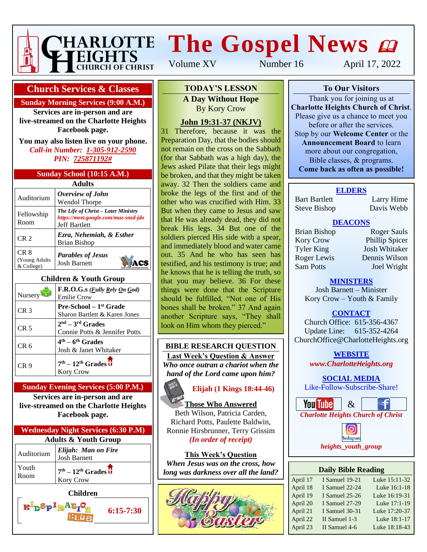

# **The Gospel News**  $\boldsymbol{\omega}$

Volume XV Number 16 April 17, 2022

#### **Church Services & Classes**

#### **Sunday Morning Services (9:00 A.M.)**

**Services are in-person and are live-streamed on the Charlotte Heights Facebook page.**

**You may also listen live on your phone.** *Call-in Number: 1-305-912-2590 PIN: 725871192#*

#### **Sunday School (10:15 A.M.)**

| Adults                              |                                                                                                     |  |  |  |  |
|-------------------------------------|-----------------------------------------------------------------------------------------------------|--|--|--|--|
| Auditorium                          | Overview of John<br>Wendol Thorpe                                                                   |  |  |  |  |
| Fellowship<br>Room                  | The Life of Christ - Later Ministry<br>https://meet.google.com/muz-snzd-jdo<br><b>Jeff Bartlett</b> |  |  |  |  |
| CR <sub>2</sub>                     | Ezra, Nehemiah, & Esther<br><b>Brian Bishop</b>                                                     |  |  |  |  |
| CR 8<br>(Young Adults<br>& College) | <b>Parables of Jesus</b><br><b>Josh Barnett</b>                                                     |  |  |  |  |

#### **Children & Youth Group**

| Nursery         | F.R.O.G.s ( <i>Fully Rely On God</i> )<br><b>Emilie Crow</b>        |
|-----------------|---------------------------------------------------------------------|
| CR <sub>3</sub> | Pre-School - 1 <sup>st</sup> Grade<br>Sharon Bartlett & Karen Jones |
| CR <sub>5</sub> | $2nd - 3rd$ Grades<br>Connie Potts & Jennifer Potts                 |
| CR 6            | $4th - 6th$ Grades<br>Josh & Janet Whitaker                         |
| CR 9            | $7th - 12th$ Grades $\overline{\textbf{u}}$<br><b>Kory Crow</b>     |

#### **Sunday Evening Services (5:00 P.M.)**

**Services are in-person and are live-streamed on the Charlotte Heights Facebook page.**

| <b>Wednesday Night Services (6:30 P.M)</b> |                                                          |  |  |  |  |
|--------------------------------------------|----------------------------------------------------------|--|--|--|--|
| <b>Adults &amp; Youth Group</b>            |                                                          |  |  |  |  |
| Auditorium                                 | Elijah: Man on Fire<br><b>Josh Barnett</b>               |  |  |  |  |
| Youth<br>Room                              | $7th - 12th$ Grades $\overline{\textbf{u}}$<br>Kory Crow |  |  |  |  |
| Children                                   |                                                          |  |  |  |  |

**Children R**bSplRAC **6:15-7:30**

## **To Our Visitors TODAY'S LESSON**

**A Day Without Hope Charlotte Heights Crow** 

#### Please give us a chance to meet you **John 19:31-37 (NKJV)**

31 Therefore, because it was the Preparation Day, that the bodies should not remain on the cross on the Sabbath (for that Sabbath was a high day), the Jews asked Pilate that their legs might be broken, and that they might be taken away. 32 Then the soldiers came and broke the legs of the first and of the other who was crucified with Him. 33 But when they came to Jesus and saw that He was already dead, they did not break His legs. 34 But one of the soldiers pierced His side with a spear, and immediately blood and water came out. 35 And he who has seen has testified, and his testimony is true; and he knows that he is telling the truth, so that you may believe. 36 For these things were done that the Scripture should be fulfilled, "Not one of His bones shall be broken." 37 And again another Scripture says, "They shall look on Him whom they pierced."

#### **BIBLE RESEARCH QUESTION**

**Last Week's Question & Answer** *Who once outran a chariot when the hand of the Lord came upon him?*



**Elijah (1 Kings 18:44-46)**

#### **Those Who Answered** Beth Wilson, Patricia Carden, Richard Potts, Paulette Baldwin, Ronnie Hirsbrunner, Terry Grissim *(In order of receipt)*

**This Week's Question** *When Jesus was on the cross, how long was darkness over all the land?*



#### **To Our Visitors**

Thank you for joining us at **Charlotte Heights Church of Christ**. Please give us a chance to meet you before or after the services. Stop by our **Welcome Center** or the **Announcement Board** to learn more about our congregation, Bible classes, & programs. **Come back as often as possible!**

#### **ELDERS**

Bart Bartlett Larry Hime Steve Bishop Davis Webb

#### **DEACONS**

Kory Crow Phillip Spicer Tyler King Josh Whitaker Roger Lewis Dennis Wilson Sam Potts Joel Wright

**You Tubel** 

Brian Bishop Roger Sauls

#### **MINISTERS**

Josh Barnett – Minister Kory Crow – Youth & Family

**CONTACT**

Church Office: 615-356-4367 Update Line: 615-352-4264 ChurchOffice@CharlotteHeights.org

> **Media Postings** *www.CharlotteHeights.org* **WEBSITE**

**SOCIAL MEDIA** 

Like-Follow-Subscribe-Share!





## **Daily Bible Reading**

| April 17 | <b>I</b> Samuel 19-21 | Luke 15:11-32 |
|----------|-----------------------|---------------|
| April 18 | <b>I</b> Samuel 22-24 | Luke 16:1-18  |
| April 19 | I Samuel 25-26        | Luke 16:19-31 |
| April 20 | <b>I</b> Samuel 27-29 | Luke 17:1-19  |
| April 21 | <b>I</b> Samuel 30-31 | Luke 17:20-37 |
| April 22 | II Samuel 1-3         | Luke 18:1-17  |
| April 23 | II Samuel 4-6         | Luke 18:18-43 |
|          |                       |               |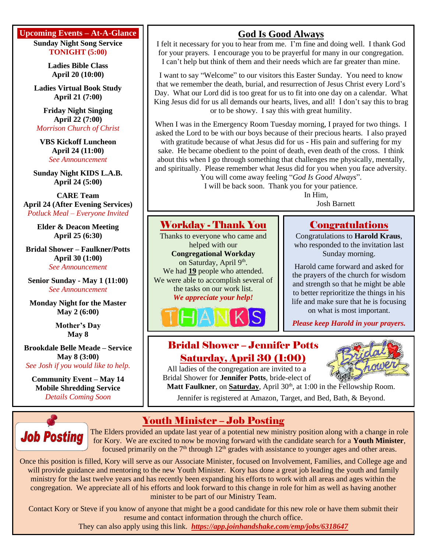#### **Upcoming Events – At-A-Glance**

**Sunday Night Song Service TONIGHT (5:00)**

> **Ladies Bible Class April 20 (10:00)**

**Ladies Virtual Book Study April 21 (7:00)**

**Friday Night Singing April 22 (7:00)** *Morrison Church of Christ*

**VBS Kickoff Luncheon April 24 (11:00)** *See Announcement*

**Sunday Night KIDS L.A.B. April 24 (5:00)**

**CARE Team April 24 (After Evening Services)** *Potluck Meal – Everyone Invited*

> **Elder & Deacon Meeting April 25 (6:30)**

**Bridal Shower – Faulkner/Potts April 30 (1:00)** *See Announcement*

**Senior Sunday - May 1 (11:00)** *See Announcement*

**Monday Night for the Master May 2 (6:00)**

> **Mother's Day May 8**

**Brookdale Belle Meade – Service May 8 (3:00)** *See Josh if you would like to help.*

**Community Event – May 14 Mobile Shredding Service** *Details Coming Soon*

## **God Is Good Always**

I felt it necessary for you to hear from me. I'm fine and doing well. I thank God for your prayers. I encourage you to be prayerful for many in our congregation. I can't help but think of them and their needs which are far greater than mine.

I want to say "Welcome" to our visitors this Easter Sunday. You need to know that we remember the death, burial, and resurrection of Jesus Christ every Lord's Day. What our Lord did is too great for us to fit into one day on a calendar. What King Jesus did for us all demands our hearts, lives, and all! I don't say this to brag or to be showy. I say this with great humility.

When I was in the Emergency Room Tuesday morning, I prayed for two things. I asked the Lord to be with our boys because of their precious hearts. I also prayed with gratitude because of what Jesus did for us - His pain and suffering for my sake. He became obedient to the point of death, even death of the cross. I think about this when I go through something that challenges me physically, mentally, and spiritually. Please remember what Jesus did for you when you face adversity.

You will come away feeling "*God Is Good Always*". I will be back soon. Thank you for your patience.

> In Him, Josh Barnett

## Workday - Thank You

Thanks to everyone who came and helped with our **Congregational Workday** on Saturday, April 9<sup>th</sup>. We had **19** people who attended. We were able to accomplish several of the tasks on our work list. *We appreciate your help!*



### Congratulations

Congratulations to **Harold Kraus**, who responded to the invitation last Sunday morning.

Harold came forward and asked for the prayers of the church for wisdom and strength so that he might be able to better reprioritize the things in his life and make sure that he is focusing on what is most important.

*Please keep Harold in your prayers.*

## Bridal Shower – Jennifer Potts Saturday, April 30 (1:00)

All ladies of the congregation are invited to a

Bridal Shower for **Jennifer Potts**, bride-elect of Matt Faulkner, on **Saturday**, April 30<sup>th</sup>, at 1:00 in the Fellowship Room.

Jennifer is registered at Amazon, Target, and Bed, Bath, & Beyond.



The Elders provided an update last year of a potential new ministry position along with a change in role for Kory. We are excited to now be moving forward with the candidate search for a **Youth Minister**, focused primarily on the  $7<sup>th</sup>$  through  $12<sup>th</sup>$  grades with assistance to younger ages and other areas.

Once this position is filled, Kory will serve as our Associate Minister, focused on Involvement, Families, and College age and will provide guidance and mentoring to the new Youth Minister. Kory has done a great job leading the youth and family ministry for the last twelve years and has recently been expanding his efforts to work with all areas and ages within the congregation. We appreciate all of his efforts and look forward to this change in role for him as well as having another minister to be part of our Ministry Team.

Youth Minister – Job Posting

Contact Kory or Steve if you know of anyone that might be a good candidate for this new role or have them submit their resume and contact information through the church office.

They can also apply using this link. *<https://app.joinhandshake.com/emp/jobs/6318647>*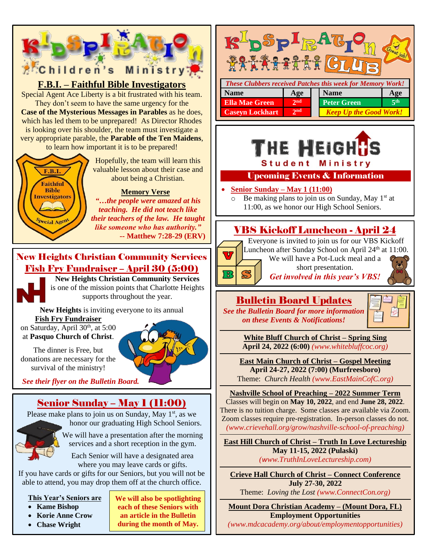

*(www.mdcacademy.org/about/employmentopportunities)*

- 
- **Chase Wright**

**an article in the Bulletin during the month of May.**